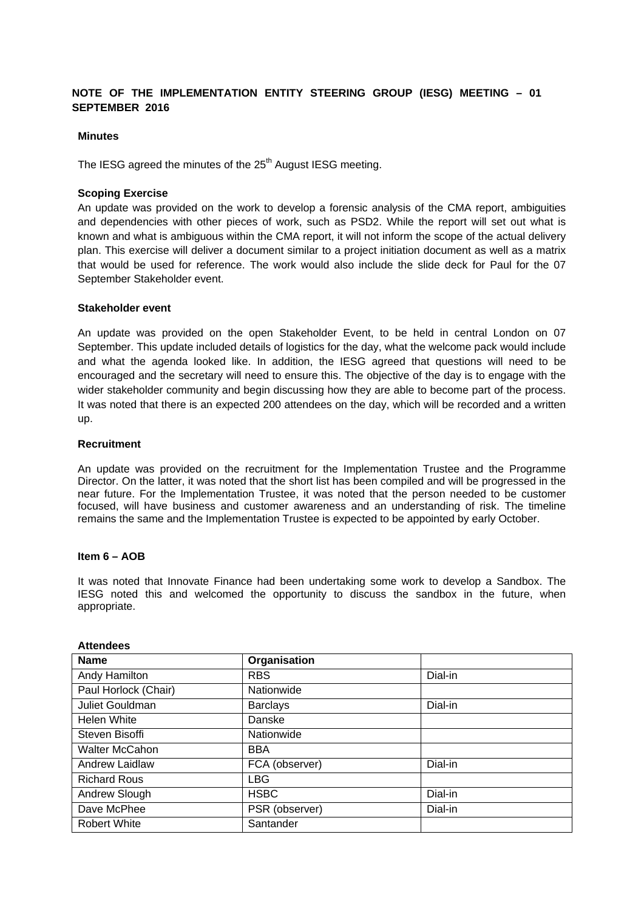# **NOTE OF THE IMPLEMENTATION ENTITY STEERING GROUP (IESG) MEETING – 01 SEPTEMBER 2016**

## **Minutes**

The IESG agreed the minutes of the  $25<sup>th</sup>$  August IESG meeting.

### **Scoping Exercise**

An update was provided on the work to develop a forensic analysis of the CMA report, ambiguities and dependencies with other pieces of work, such as PSD2. While the report will set out what is known and what is ambiguous within the CMA report, it will not inform the scope of the actual delivery plan. This exercise will deliver a document similar to a project initiation document as well as a matrix that would be used for reference. The work would also include the slide deck for Paul for the 07 September Stakeholder event.

### **Stakeholder event**

An update was provided on the open Stakeholder Event, to be held in central London on 07 September. This update included details of logistics for the day, what the welcome pack would include and what the agenda looked like. In addition, the IESG agreed that questions will need to be encouraged and the secretary will need to ensure this. The objective of the day is to engage with the wider stakeholder community and begin discussing how they are able to become part of the process. It was noted that there is an expected 200 attendees on the day, which will be recorded and a written up.

## **Recruitment**

An update was provided on the recruitment for the Implementation Trustee and the Programme Director. On the latter, it was noted that the short list has been compiled and will be progressed in the near future. For the Implementation Trustee, it was noted that the person needed to be customer focused, will have business and customer awareness and an understanding of risk. The timeline remains the same and the Implementation Trustee is expected to be appointed by early October.

#### **Item 6 – AOB**

It was noted that Innovate Finance had been undertaking some work to develop a Sandbox. The IESG noted this and welcomed the opportunity to discuss the sandbox in the future, when appropriate.

| <b>Name</b>           | Organisation    |         |
|-----------------------|-----------------|---------|
| Andy Hamilton         | <b>RBS</b>      | Dial-in |
| Paul Horlock (Chair)  | Nationwide      |         |
| Juliet Gouldman       | <b>Barclays</b> | Dial-in |
| Helen White           | Danske          |         |
| Steven Bisoffi        | Nationwide      |         |
| <b>Walter McCahon</b> | <b>BBA</b>      |         |
| Andrew Laidlaw        | FCA (observer)  | Dial-in |
| <b>Richard Rous</b>   | <b>LBG</b>      |         |
| Andrew Slough         | <b>HSBC</b>     | Dial-in |
| Dave McPhee           | PSR (observer)  | Dial-in |
| <b>Robert White</b>   | Santander       |         |

#### **Attendees**